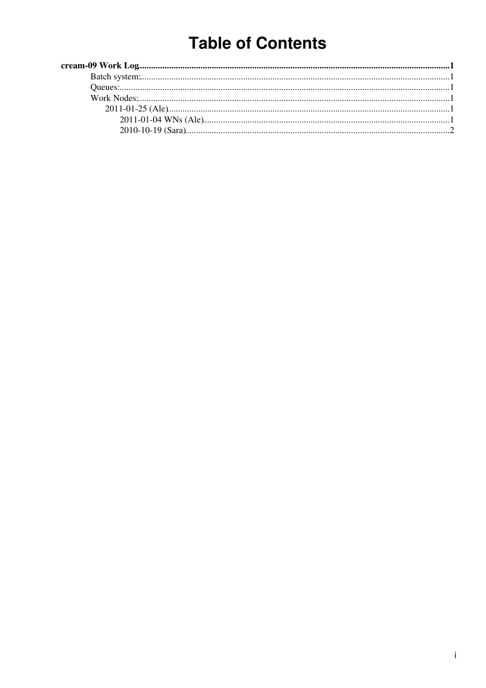# **Table of Contents**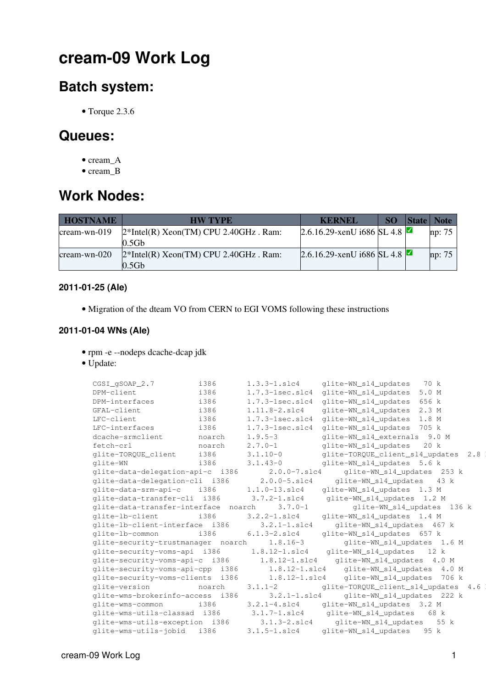## <span id="page-1-0"></span>**cream-09 Work Log**

### <span id="page-1-1"></span>**Batch system:**

• Torque 2.3.6

### <span id="page-1-2"></span>**Queues:**

- cream A
- cream\_B

### <span id="page-1-3"></span>**Work Nodes:**

| <b>HOSTNAME</b> | <b>HW TYPE</b>                                                | <b>KERNEL</b>              | SO. | <b>State</b> | <b>Note</b> |
|-----------------|---------------------------------------------------------------|----------------------------|-----|--------------|-------------|
| $c$ ream-wn-019 | $2*Intel(R) Xeon(TM) CPU 2.40GHz$ . Ram:<br>0.5 <sub>Gb</sub> | 2.6.16.29-xenU i686 SL 4.8 |     |              | np: 75      |
| $c$ ream-wn-020 | $2*Intel(R) Xeon(TM) CPU 2.40GHz$ . Ram:<br>0.5 <sub>Gb</sub> | 2.6.16.29-xenU i686 SL 4.8 |     |              | np: 75      |

#### <span id="page-1-4"></span>**2011-01-25 (Ale)**

• Migration of the dteam VO from CERN to EGI VOMS following these [instructions](https://wiki.egi.eu/wiki/Dteam_vo)

### <span id="page-1-5"></span>**2011-01-04 WNs (Ale)**

- rpm -e --nodeps dcache-dcap jdk
- Update:

```
 CGSI_gSOAP_2.7 i386 1.3.3-1.slc4 glite-WN_sl4_updates 70 k
DPM-client i386 1.7.3-1sec.slc4 glite-WN sl4 updates 5.0 M
DPM-interfaces i386 1.7.3-1sec.slc4 glite-WN_sl4_updates 656 k
 GFAL-client i386 1.11.8-2.slc4 glite-WN_sl4_updates 2.3 M
LFC-client i386 1.7.3-1sec.slc4 glite-WN_sl4_updates 1.8 M
LFC-interfaces i386 1.7.3-1sec.slc4 glite-WN_sl4_updates 705 k
 dcache-srmclient noarch 1.9.5-3 glite-WN_sl4_externals 9.0 M
 fetch-crl noarch 2.7.0-1 glite-WN_sl4_updates 20 k
 glite-TORQUE_client i386 3.1.10-0 glite-TORQUE_client_sl4_updates 2.8 k
 glite-WN i386 3.1.43-0 glite-WN_sl4_updates 5.6 k
 glite-data-delegation-api-c i386 2.0.0-7.slc4 glite-WN_sl4_updates 253 k
 glite-data-delegation-cli i386 2.0.0-5.slc4 glite-WN_sl4_updates 43 k
 glite-data-srm-api-c i386 1.1.0-13.slc4 glite-WN_sl4_updates 1.3 M
 glite-data-transfer-cli i386 3.7.2-1.slc4 glite-WN_sl4_updates 1.2 M
 glite-data-transfer-interface noarch 3.7.0-1 glite-WN_sl4_updates 136 k
 glite-lb-client i386 3.2.2-1.slc4 glite-WN_sl4_updates 1.4 M
 glite-lb-client-interface i386 3.2.1-1.slc4 glite-WN_sl4_updates 467 k
 glite-lb-common i386 6.1.3-2.slc4 glite-WN_sl4_updates 657 k
 glite-security-trustmanager noarch 1.8.16-3 glite-WN_sl4_updates 1.6 M
 glite-security-voms-api i386 1.8.12-1.slc4 glite-WN_sl4_updates 12 k
 glite-security-voms-api-c i386 1.8.12-1.slc4 glite-WN_sl4_updates 4.0 M
 glite-security-voms-api-cpp i386 1.8.12-1.slc4 glite-WN_sl4_updates 4.0 M
 glite-security-voms-clients i386 1.8.12-1.slc4 glite-WN_sl4_updates 706 k
 glite-version noarch 3.1.1-2 glite-TORQUE_client_sl4_updates 4.6 k
glite-wms-brokerinfo-access i386 3.2.1-1.slc4 glite-WN_sl4_updates 222 k<br>glite-wms-common i386 3.2.1-4.slc4 glite-WN_sl4_updates 3.2 M
 glite-wms-common i386 3.2.1-4.slc4 glite-WN_sl4_updates 3.2 M
 glite-wms-utils-classad i386 3.1.7-1.slc4 glite-WN_sl4_updates 68 k
glite-wms-utils-classad i386 3.1.7-1.slc4 glite-WN_sl4_updates 3.2 M<br>glite-wms-utils-exception i386 3.1.3-2.slc4 glite-WN_sl4_updates 55 k
 glite-wms-utils-jobid i386 3.1.5-1.slc4 glite-WN_sl4_updates 95 k
```